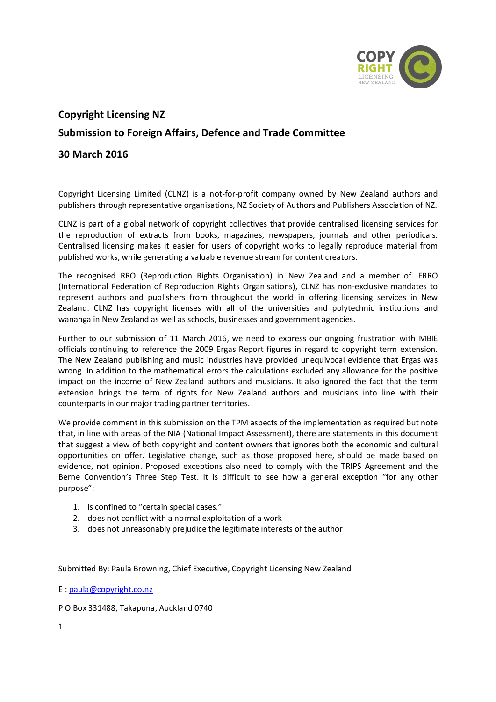

# **Copyright Licensing NZ Submission to Foreign Affairs, Defence and Trade Committee**

# **30 March 2016**

Copyright Licensing Limited (CLNZ) is a not-for-profit company owned by New Zealand authors and publishers through representative organisations, NZ Society of Authors and Publishers Association of NZ.

CLNZ is part of a global network of copyright collectives that provide centralised licensing services for the reproduction of extracts from books, magazines, newspapers, journals and other periodicals. Centralised licensing makes it easier for users of copyright works to legally reproduce material from published works, while generating a valuable revenue stream for content creators.

The recognised RRO (Reproduction Rights Organisation) in New Zealand and a member of IFRRO (International Federation of Reproduction Rights Organisations), CLNZ has non-exclusive mandates to represent authors and publishers from throughout the world in offering licensing services in New Zealand. CLNZ has copyright licenses with all of the universities and polytechnic institutions and wananga in New Zealand as well as schools, businesses and government agencies.

Further to our submission of 11 March 2016, we need to express our ongoing frustration with MBIE officials continuing to reference the 2009 Ergas Report figures in regard to copyright term extension. The New Zealand publishing and music industries have provided unequivocal evidence that Ergas was wrong. In addition to the mathematical errors the calculations excluded any allowance for the positive impact on the income of New Zealand authors and musicians. It also ignored the fact that the term extension brings the term of rights for New Zealand authors and musicians into line with their counterparts in our major trading partner territories.

We provide comment in this submission on the TPM aspects of the implementation as required but note that, in line with areas of the NIA (National Impact Assessment), there are statements in this document that suggest a view of both copyright and content owners that ignores both the economic and cultural opportunities on offer. Legislative change, such as those proposed here, should be made based on evidence, not opinion. Proposed exceptions also need to comply with the TRIPS Agreement and the Berne Convention's Three Step Test. It is difficult to see how a general exception "for any other purpose":

- 1. is confined to "certain special cases."
- 2. does not conflict with a normal exploitation of a work
- 3. does not unreasonably prejudice the legitimate interests of the author

Submitted By: Paula Browning, Chief Executive, Copyright Licensing New Zealand

E : paula@copyright.co.nz

P O Box 331488, Takapuna, Auckland 0740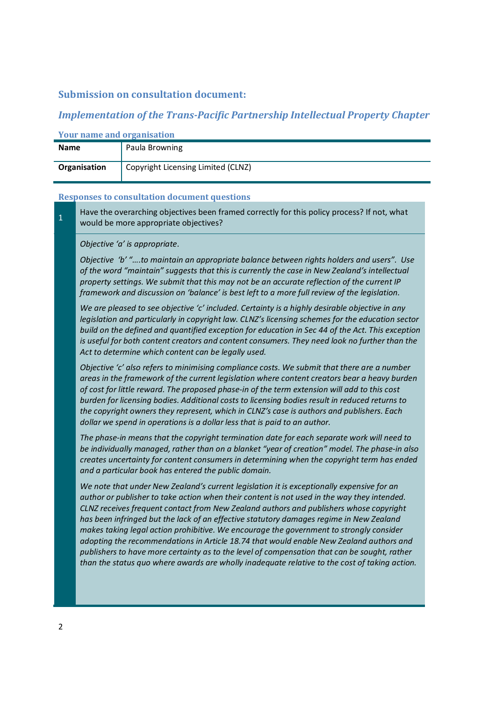### **Submission on consultation document:**

## *Implementation of the Trans-Pacific Partnership Intellectual Property Chapter*

| TOUL Hanne and Organisation |                                    |  |
|-----------------------------|------------------------------------|--|
| <b>Name</b>                 | Paula Browning                     |  |
| Organisation                | Copyright Licensing Limited (CLNZ) |  |

## **Your name and organisation**

#### **Responses to consultation document questions**

**1** Have the overarching objectives been framed correctly for this policy process? If not, what would be more appropriate objectives?

*Objective 'a' is appropriate.* 

*Objective 'b' "….to maintain an appropriate balance between rights holders and users". Use of the word "maintain" suggests that this is currently the case in New Zealand's intellectual property settings. We submit that this may not be an accurate reflection of the current IP framework and discussion on 'balance' is best left to a more full review of the legislation.*

*We are pleased to see objective 'c' included. Certainty is a highly desirable objective in any legislation and particularly in copyright law. CLNZ's licensing schemes for the education sector build on the defined and quantified exception for education in Sec 44 of the Act. This exception is useful for both content creators and content consumers. They need look no further than the Act to determine which content can be legally used.*

*Objective 'c' also refers to minimising compliance costs. We submit that there are a number areas in the framework of the current legislation where content creators bear a heavy burden of cost for little reward. The proposed phase-in of the term extension will add to this cost burden for licensing bodies. Additional costs to licensing bodies result in reduced returns to the copyright owners they represent, which in CLNZ's case is authors and publishers. Each dollar we spend in operations is a dollar less that is paid to an author.* 

*The phase-in means that the copyright termination date for each separate work will need to be individually managed, rather than on a blanket "year of creation" model. The phase-in also creates uncertainty for content consumers in determining when the copyright term has ended and a particular book has entered the public domain.*

*We note that under New Zealand's current legislation it is exceptionally expensive for an author or publisher to take action when their content is not used in the way they intended. CLNZ receives frequent contact from New Zealand authors and publishers whose copyright has been infringed but the lack of an effective statutory damages regime in New Zealand makes taking legal action prohibitive. We encourage the government to strongly consider adopting the recommendations in Article 18.74 that would enable New Zealand authors and publishers to have more certainty as to the level of compensation that can be sought, rather than the status quo where awards are wholly inadequate relative to the cost of taking action.*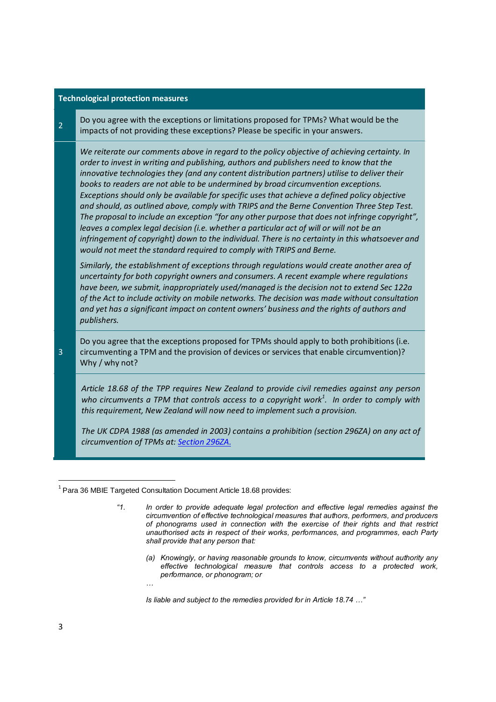#### **Technological protection measures**

2 Do you agree with the exceptions or limitations proposed for TPMs? What would be the impacts of not providing these exceptions? Please be specific in your answers.

*We reiterate our comments above in regard to the policy objective of achieving certainty. In order to invest in writing and publishing, authors and publishers need to know that the innovative technologies they (and any content distribution partners) utilise to deliver their books to readers are not able to be undermined by broad circumvention exceptions. Exceptions should only be available for specific uses that achieve a defined policy objective and should, as outlined above, comply with TRIPS and the Berne Convention Three Step Test. The proposal to include an exception "for any other purpose that does not infringe copyright", leaves a complex legal decision (i.e. whether a particular act of will or will not be an infringement of copyright) down to the individual. There is no certainty in this whatsoever and would not meet the standard required to comply with TRIPS and Berne.*

*Similarly, the establishment of exceptions through regulations would create another area of uncertainty for both copyright owners and consumers. A recent example where regulations have been, we submit, inappropriately used/managed is the decision not to extend Sec 122a of the Act to include activity on mobile networks. The decision was made without consultation and yet has a significant impact on content owners' business and the rights of authors and publishers.*

Do you agree that the exceptions proposed for TPMs should apply to both prohibitions (i.e. circumventing a TPM and the provision of devices or services that enable circumvention)? Why / why not?

*Article 18.68 of the TPP requires New Zealand to provide civil remedies against any person who circumvents a TPM that controls access to a copyright work<sup>1</sup> . In order to comply with this requirement, New Zealand will now need to implement such a provision.* 

*The UK CDPA 1988 (as amended in 2003) contains a prohibition (section 296ZA) on any act of circumvention of TPMs at: Section 296ZA.*

*…*

*(a) Knowingly, or having reasonable grounds to know, circumvents without authority any effective technological measure that controls access to a protected work, performance, or phonogram; or*

*Is liable and subject to the remedies provided for in Article 18.74 …"*

3

 $1$  Para 36 MBIE Targeted Consultation Document Article 18.68 provides:

*<sup>&</sup>quot;1. In order to provide adequate legal protection and effective legal remedies against the circumvention of effective technological measures that authors, performers, and producers of phonograms used in connection with the exercise of their rights and that restrict unauthorised acts in respect of their works, performances, and programmes, each Party shall provide that any person that:*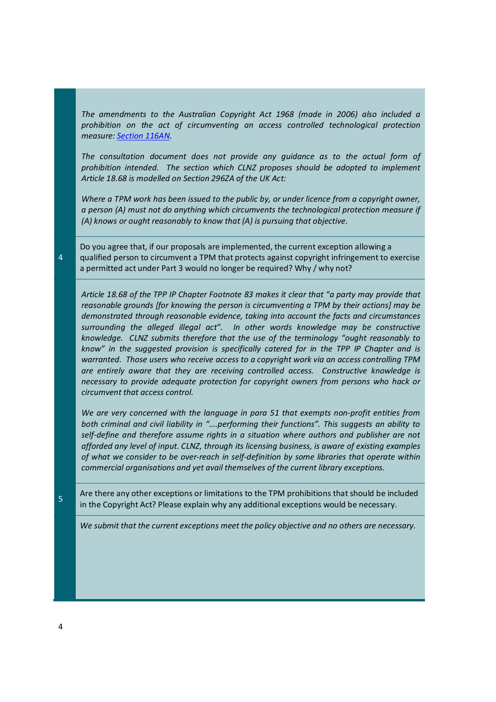*The amendments to the Australian Copyright Act 1968 (made in 2006) also included a prohibition on the act of circumventing an access controlled technological protection measure: Section 116AN.* 

*The consultation document does not provide any guidance as to the actual form of prohibition intended. The section which CLNZ proposes should be adopted to implement Article 18.68 is modelled on Section 296ZA of the UK Act:* 

*Where a TPM work has been issued to the public by, or under licence from a copyright owner, a person (A) must not do anything which circumvents the technological protection measure if (A) knows or ought reasonably to know that (A) is pursuing that objective.*

Do you agree that, if our proposals are implemented, the current exception allowing a qualified person to circumvent a TPM that protects against copyright infringement to exercise a permitted act under Part 3 would no longer be required? Why / why not?

*Article 18.68 of the TPP IP Chapter Footnote 83 makes it clear that "a party may provide that reasonable grounds [for knowing the person is circumventing a TPM by their actions] may be demonstrated through reasonable evidence, taking into account the facts and circumstances surrounding the alleged illegal act". In other words knowledge may be constructive knowledge. CLNZ submits therefore that the use of the terminology "ought reasonably to know" in the suggested provision is specifically catered for in the TPP IP Chapter and is warranted. Those users who receive access to a copyright work via an access controlling TPM are entirely aware that they are receiving controlled access. Constructive knowledge is necessary to provide adequate protection for copyright owners from persons who hack or circumvent that access control.*

*We are very concerned with the language in para 51 that exempts non-profit entities from both criminal and civil liability in "….performing their functions". This suggests an ability to self-define and therefore assume rights in a situation where authors and publisher are not afforded any level of input. CLNZ, through its licensing business, is aware of existing examples of what we consider to be over-reach in self-definition by some libraries that operate within commercial organisations and yet avail themselves of the current library exceptions.*

**5** Are there any other exceptions or limitations to the TPM prohibitions that should be included in the Copyright Act? Please explain why any additional exceptions would be necessary.

*We submit that the current exceptions meet the policy objective and no others are necessary.*

4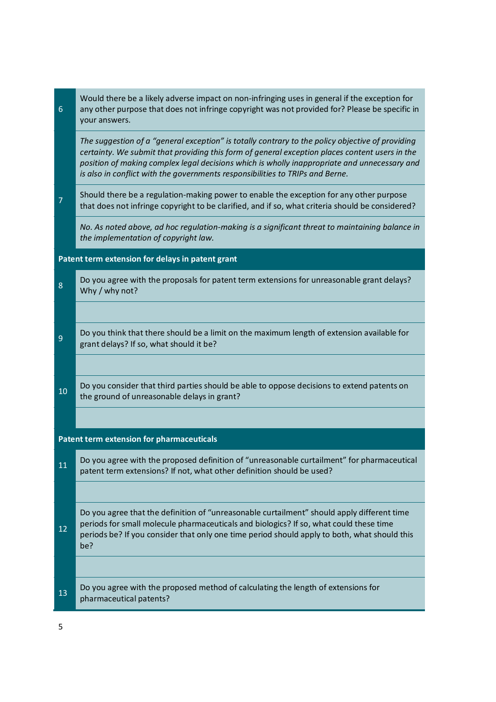| $\sqrt{6}$                                       | Would there be a likely adverse impact on non-infringing uses in general if the exception for<br>any other purpose that does not infringe copyright was not provided for? Please be specific in<br>your answers.                                                                                                                                                                    |  |
|--------------------------------------------------|-------------------------------------------------------------------------------------------------------------------------------------------------------------------------------------------------------------------------------------------------------------------------------------------------------------------------------------------------------------------------------------|--|
|                                                  | The suggestion of a "general exception" is totally contrary to the policy objective of providing<br>certainty. We submit that providing this form of general exception places content users in the<br>position of making complex legal decisions which is wholly inappropriate and unnecessary and<br>is also in conflict with the governments responsibilities to TRIPs and Berne. |  |
| $\overline{7}$                                   | Should there be a regulation-making power to enable the exception for any other purpose<br>that does not infringe copyright to be clarified, and if so, what criteria should be considered?                                                                                                                                                                                         |  |
|                                                  | No. As noted above, ad hoc regulation-making is a significant threat to maintaining balance in<br>the implementation of copyright law.                                                                                                                                                                                                                                              |  |
| Patent term extension for delays in patent grant |                                                                                                                                                                                                                                                                                                                                                                                     |  |
| 8                                                | Do you agree with the proposals for patent term extensions for unreasonable grant delays?<br>Why / why not?                                                                                                                                                                                                                                                                         |  |
|                                                  |                                                                                                                                                                                                                                                                                                                                                                                     |  |
| $\boldsymbol{9}$                                 | Do you think that there should be a limit on the maximum length of extension available for<br>grant delays? If so, what should it be?                                                                                                                                                                                                                                               |  |
|                                                  |                                                                                                                                                                                                                                                                                                                                                                                     |  |
| 10                                               | Do you consider that third parties should be able to oppose decisions to extend patents on<br>the ground of unreasonable delays in grant?                                                                                                                                                                                                                                           |  |
|                                                  |                                                                                                                                                                                                                                                                                                                                                                                     |  |
|                                                  | <b>Patent term extension for pharmaceuticals</b>                                                                                                                                                                                                                                                                                                                                    |  |
| 11                                               | Do you agree with the proposed definition of "unreasonable curtailment" for pharmaceutical<br>patent term extensions? If not, what other definition should be used?                                                                                                                                                                                                                 |  |
|                                                  |                                                                                                                                                                                                                                                                                                                                                                                     |  |
| 12                                               | Do you agree that the definition of "unreasonable curtailment" should apply different time<br>periods for small molecule pharmaceuticals and biologics? If so, what could these time<br>periods be? If you consider that only one time period should apply to both, what should this<br>be?                                                                                         |  |
|                                                  |                                                                                                                                                                                                                                                                                                                                                                                     |  |
| 13                                               | Do you agree with the proposed method of calculating the length of extensions for<br>pharmaceutical patents?                                                                                                                                                                                                                                                                        |  |
|                                                  |                                                                                                                                                                                                                                                                                                                                                                                     |  |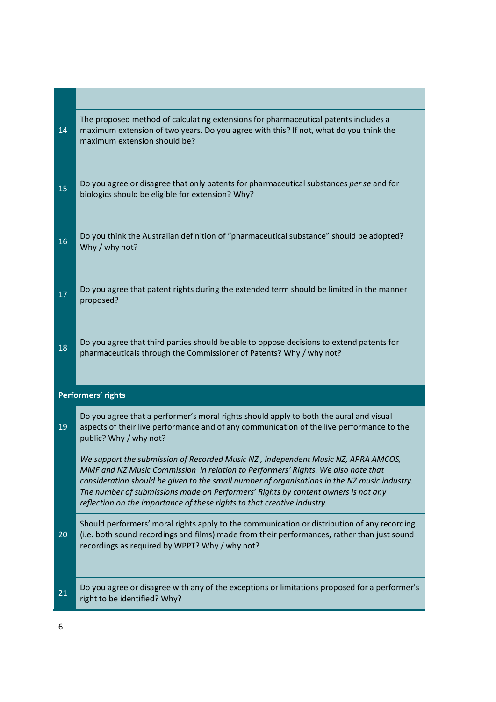| 14 | The proposed method of calculating extensions for pharmaceutical patents includes a<br>maximum extension of two years. Do you agree with this? If not, what do you think the<br>maximum extension should be?                                                                                                                                                                                                                           |
|----|----------------------------------------------------------------------------------------------------------------------------------------------------------------------------------------------------------------------------------------------------------------------------------------------------------------------------------------------------------------------------------------------------------------------------------------|
|    |                                                                                                                                                                                                                                                                                                                                                                                                                                        |
| 15 | Do you agree or disagree that only patents for pharmaceutical substances per se and for<br>biologics should be eligible for extension? Why?                                                                                                                                                                                                                                                                                            |
|    |                                                                                                                                                                                                                                                                                                                                                                                                                                        |
| 16 | Do you think the Australian definition of "pharmaceutical substance" should be adopted?<br>Why / why not?                                                                                                                                                                                                                                                                                                                              |
|    |                                                                                                                                                                                                                                                                                                                                                                                                                                        |
| 17 | Do you agree that patent rights during the extended term should be limited in the manner<br>proposed?                                                                                                                                                                                                                                                                                                                                  |
|    |                                                                                                                                                                                                                                                                                                                                                                                                                                        |
| 18 | Do you agree that third parties should be able to oppose decisions to extend patents for<br>pharmaceuticals through the Commissioner of Patents? Why / why not?                                                                                                                                                                                                                                                                        |
|    |                                                                                                                                                                                                                                                                                                                                                                                                                                        |
|    | Performers' rights                                                                                                                                                                                                                                                                                                                                                                                                                     |
| 19 | Do you agree that a performer's moral rights should apply to both the aural and visual<br>aspects of their live performance and of any communication of the live performance to the<br>public? Why / why not?                                                                                                                                                                                                                          |
|    | We support the submission of Recorded Music NZ , Independent Music NZ, APRA AMCOS,<br>MMF and NZ Music Commission in relation to Performers' Rights. We also note that<br>consideration should be given to the small number of organisations in the NZ music industry.<br>The number of submissions made on Performers' Rights by content owners is not any<br>reflection on the importance of these rights to that creative industry. |
| 20 | Should performers' moral rights apply to the communication or distribution of any recording<br>(i.e. both sound recordings and films) made from their performances, rather than just sound<br>recordings as required by WPPT? Why / why not?                                                                                                                                                                                           |
|    |                                                                                                                                                                                                                                                                                                                                                                                                                                        |
| 21 | Do you agree or disagree with any of the exceptions or limitations proposed for a performer's<br>right to be identified? Why?                                                                                                                                                                                                                                                                                                          |
|    |                                                                                                                                                                                                                                                                                                                                                                                                                                        |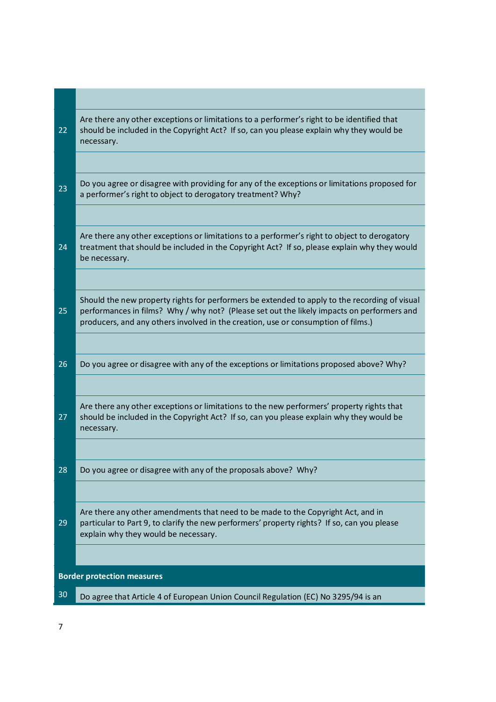| 22                                | Are there any other exceptions or limitations to a performer's right to be identified that<br>should be included in the Copyright Act? If so, can you please explain why they would be<br>necessary.                                                                             |  |
|-----------------------------------|----------------------------------------------------------------------------------------------------------------------------------------------------------------------------------------------------------------------------------------------------------------------------------|--|
|                                   |                                                                                                                                                                                                                                                                                  |  |
| 23                                | Do you agree or disagree with providing for any of the exceptions or limitations proposed for<br>a performer's right to object to derogatory treatment? Why?                                                                                                                     |  |
|                                   |                                                                                                                                                                                                                                                                                  |  |
| 24                                | Are there any other exceptions or limitations to a performer's right to object to derogatory<br>treatment that should be included in the Copyright Act? If so, please explain why they would<br>be necessary.                                                                    |  |
|                                   |                                                                                                                                                                                                                                                                                  |  |
| 25                                | Should the new property rights for performers be extended to apply to the recording of visual<br>performances in films? Why / why not? (Please set out the likely impacts on performers and<br>producers, and any others involved in the creation, use or consumption of films.) |  |
|                                   |                                                                                                                                                                                                                                                                                  |  |
| 26                                | Do you agree or disagree with any of the exceptions or limitations proposed above? Why?                                                                                                                                                                                          |  |
|                                   |                                                                                                                                                                                                                                                                                  |  |
| 27                                | Are there any other exceptions or limitations to the new performers' property rights that<br>should be included in the Copyright Act? If so, can you please explain why they would be<br>necessary.                                                                              |  |
|                                   |                                                                                                                                                                                                                                                                                  |  |
| 28                                | Do you agree or disagree with any of the proposals above? Why?                                                                                                                                                                                                                   |  |
|                                   |                                                                                                                                                                                                                                                                                  |  |
| 29                                | Are there any other amendments that need to be made to the Copyright Act, and in<br>particular to Part 9, to clarify the new performers' property rights? If so, can you please<br>explain why they would be necessary.                                                          |  |
|                                   |                                                                                                                                                                                                                                                                                  |  |
| <b>Border protection measures</b> |                                                                                                                                                                                                                                                                                  |  |
| 30                                | Do agree that Article 4 of European Union Council Regulation (EC) No 3295/94 is an                                                                                                                                                                                               |  |